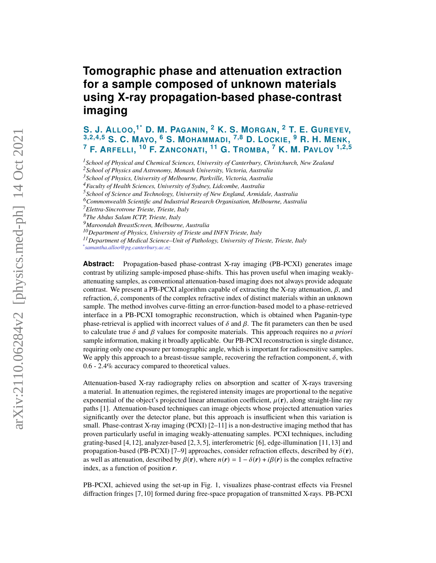## **Tomographic phase and attenuation extraction for a sample composed of unknown materials using X-ray propagation-based phase-contrast imaging**

**S. J. ALLOO, 1\* D. M. PAGANIN, <sup>2</sup> K. S. MORGAN, <sup>2</sup> T. E. GUREYEV, 3,2,4,5 S. C. MAYO, <sup>6</sup> S. MOHAMMADI, 7,8 D. LOCKIE, <sup>9</sup> R. H. MENK, <sup>7</sup> F. ARFELLI, <sup>10</sup> F. ZANCONATI, <sup>11</sup> G. TROMBA, <sup>7</sup> K. M. PAVLOV 1,2,5**

*<sup>1</sup>School of Physical and Chemical Sciences, University of Canterbury, Christchurch, New Zealand*

*<sup>5</sup>School of Science and Technology, University of New England, Armidale, Australia*

*<sup>9</sup>Maroondah BreastScreen, Melbourne, Australia*

*<sup>10</sup>Department of Physics, University of Trieste and INFN Trieste, Italy*

*<sup>11</sup>Department of Medical Science–Unit of Pathology, University of Trieste, Trieste, Italy*

*\* samantha.alloo@pg.canterbury.ac.nz*

**Abstract:** Propagation-based phase-contrast X-ray imaging (PB-PCXI) generates image contrast by utilizing sample-imposed phase-shifts. This has proven useful when imaging weaklyattenuating samples, as conventional attenuation-based imaging does not always provide adequate contrast. We present a PB-PCXI algorithm capable of extracting the X-ray attenuation,  $\beta$ , and refraction,  $\delta$ , components of the complex refractive index of distinct materials within an unknown sample. The method involves curve-fitting an error-function-based model to a phase-retrieved interface in a PB-PCXI tomographic reconstruction, which is obtained when Paganin-type phase-retrieval is applied with incorrect values of  $\delta$  and  $\beta$ . The fit parameters can then be used to calculate true  $\delta$  and  $\beta$  values for composite materials. This approach requires no *a priori* sample information, making it broadly applicable. Our PB-PCXI reconstruction is single distance, requiring only one exposure per tomographic angle, which is important for radiosensitive samples. We apply this approach to a breast-tissue sample, recovering the refraction component,  $\delta$ , with 0.6 - 2.4% accuracy compared to theoretical values.

Attenuation-based X-ray radiography relies on absorption and scatter of X-rays traversing a material. In attenuation regimes, the registered intensity images are proportional to the negative exponential of the object's projected linear attenuation coefficient,  $\mu(\mathbf{r})$ , along straight-line ray paths [\[1\]](#page-6-0). Attenuation-based techniques can image objects whose projected attenuation varies significantly over the detector plane, but this approach is insufficient when this variation is small. Phase-contrast X-ray imaging (PCXI)  $[2-11]$  $[2-11]$  is a non-destructive imaging method that has proven particularly useful in imaging weakly-attenuating samples. PCXI techniques, including grating-based [\[4,](#page-6-3) [12\]](#page-6-4), analyzer-based [\[2,](#page-6-1) [3,](#page-6-5) [5\]](#page-6-6), interferometric [\[6\]](#page-6-7), edge-illumination [\[11,](#page-6-2) [13\]](#page-6-8) and propagation-based (PB-PCXI) [\[7–](#page-6-9)[9\]](#page-6-10) approaches, consider refraction effects, described by  $\delta(\mathbf{r})$ , as well as attenuation, described by  $\beta(\bf{r})$ , where  $n(\bf{r}) = 1 - \delta(\bf{r}) + i\beta(\bf{r})$  is the complex refractive index, as a function of position *r*.

PB-PCXI, achieved using the set-up in Fig. [1,](#page-1-0) visualizes phase-contrast effects via Fresnel diffraction fringes [\[7,](#page-6-9) [10\]](#page-6-11) formed during free-space propagation of transmitted X-rays. PB-PCXI

*<sup>2</sup>School of Physics and Astronomy, Monash University, Victoria, Australia*

*<sup>3</sup>School of Physics, University of Melbourne, Parkville, Victoria, Australia*

*<sup>4</sup>Faculty of Health Sciences, University of Sydney, Lidcombe, Australia*

*<sup>6</sup>Commonwealth Scientific and Industrial Research Organisation, Melbourne, Australia*

*<sup>7</sup>Elettra-Sincrotrone Trieste, Trieste, Italy*

*<sup>8</sup>The Abdus Salam ICTP, Trieste, Italy*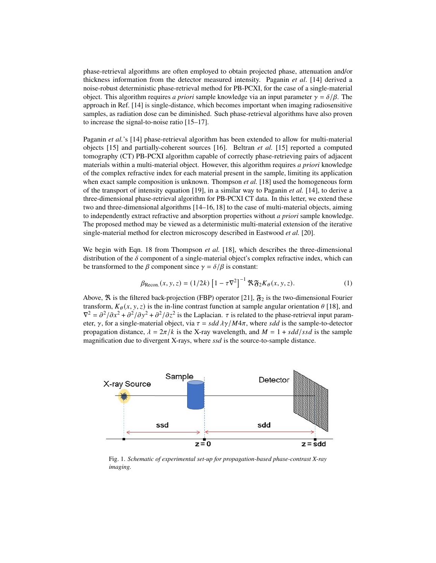phase-retrieval algorithms are often employed to obtain projected phase, attenuation and/or thickness information from the detector measured intensity. Paganin *et al*. [\[14\]](#page-6-12) derived a noise-robust deterministic phase-retrieval method for PB-PCXI, for the case of a single-material object. This algorithm requires *a priori* sample knowledge via an input parameter  $\gamma = \delta/\beta$ . The approach in Ref. [\[14\]](#page-6-12) is single-distance, which becomes important when imaging radiosensitive samples, as radiation dose can be diminished. Such phase-retrieval algorithms have also proven to increase the signal-to-noise ratio [\[15–](#page-6-13)[17\]](#page-6-14).

Paganin *et al.*'s [\[14\]](#page-6-12) phase-retrieval algorithm has been extended to allow for multi-material objects [\[15\]](#page-6-13) and partially-coherent sources [\[16\]](#page-6-15). Beltran *et al.* [\[15\]](#page-6-13) reported a computed tomography (CT) PB-PCXI algorithm capable of correctly phase-retrieving pairs of adjacent materials within a multi-material object. However, this algorithm requires *a priori* knowledge of the complex refractive index for each material present in the sample, limiting its application when exact sample composition is unknown. Thompson *et al.* [\[18\]](#page-6-16) used the homogeneous form of the transport of intensity equation [\[19\]](#page-6-17), in a similar way to Paganin *et al.* [\[14\]](#page-6-12), to derive a three-dimensional phase-retrieval algorithm for PB-PCXI CT data. In this letter, we extend these two and three-dimensional algorithms [\[14](#page-6-12)[–16,](#page-6-15) [18\]](#page-6-16) to the case of multi-material objects, aiming to independently extract refractive and absorption properties without *a priori* sample knowledge. The proposed method may be viewed as a deterministic multi-material extension of the iterative single-material method for electron microscopy described in Eastwood *et al.* [\[20\]](#page-6-18).

We begin with Eqn. 18 from Thompson *et al.* [\[18\]](#page-6-16), which describes the three-dimensional distribution of the  $\delta$  component of a single-material object's complex refractive index, which can be transformed to the  $\beta$  component since  $\gamma = \delta/\beta$  is constant:

<span id="page-1-1"></span>
$$
\beta_{\text{Recon.}}(x, y, z) = (1/2k) \left[1 - \tau \nabla^2\right]^{-1} \mathfrak{R} \mathfrak{F}_2 K_\theta(x, y, z). \tag{1}
$$

Above,  $\Re$  is the filtered back-projection (FBP) operator [\[21\]](#page-6-19),  $\mathfrak{F}_2$  is the two-dimensional Fourier transform,  $K_{\theta}(x, y, z)$  is the in-line contrast function at sample angular orientation  $\theta$  [\[18\]](#page-6-16), and  $\nabla^2 = \frac{\partial^2}{\partial x^2} + \frac{\partial^2}{\partial y^2} + \frac{\partial^2}{\partial z^2}$  is the Laplacian.  $\tau$  is related to the phase-retrieval input parameter,  $\gamma$ , for a single-material object, via  $\tau = sdd \lambda \gamma / M 4\pi$ , where sdd is the sample-to-detector propagation distance,  $\lambda = 2\pi/k$  is the X-ray wavelength, and  $M = 1 + s \frac{dd}{ss}$  is the sample magnification due to divergent X-rays, where *ssd* is the source-to-sample distance.

<span id="page-1-0"></span>

Fig. 1. *Schematic of experimental set-up for propagation-based phase-contrast X-ray imaging.*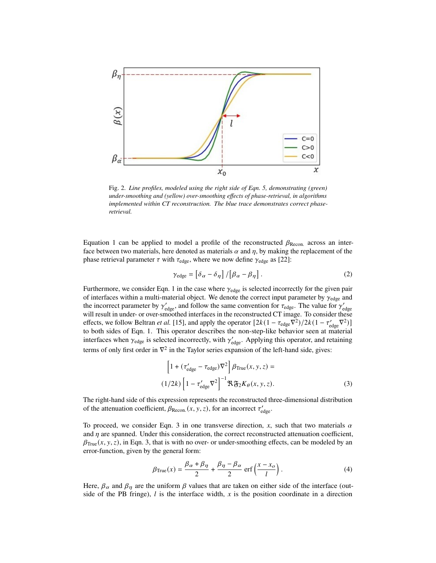<span id="page-2-1"></span>

Fig. 2. *Line profiles, modeled using the right side of Eqn. [5,](#page-3-0) demonstrating (green) under-smoothing and (yellow) over-smoothing effects of phase-retrieval, in algorithms implemented within CT reconstruction. The blue trace demonstrates correct phaseretrieval.*

Equation [1](#page-1-1) can be applied to model a profile of the reconstructed  $\beta_{\text{Recon.}}$  across an interface between two materials, here denoted as materials  $\alpha$  and  $\eta$ , by making the replacement of the phase retrieval parameter  $\tau$  with  $\tau_{\text{edge}}$ , where we now define  $\gamma_{\text{edge}}$  as [\[22\]](#page-6-20):

<span id="page-2-3"></span>
$$
\gamma_{\text{edge}} = \left[ \delta_{\alpha} - \delta_{\eta} \right] / \left[ \beta_{\alpha} - \beta_{\eta} \right]. \tag{2}
$$

Furthermore, we consider Eqn. [1](#page-1-1) in the case where  $\gamma_{\text{edge}}$  is selected incorrectly for the given pair of interfaces within a multi-material object. We denote the correct input parameter by  $\gamma_{\text{edge}}$  and the incorrect parameter by  $\gamma_{\text{edge}}'$ , and follow the same convention for  $\tau_{\text{edge}}$ . The value for  $\gamma_{\text{edge}}'$ will result in under- or over-smoothed interfaces in the reconstructed CT image. To consider these effects, we follow Beltran *et al.* [\[15\]](#page-6-13), and apply the operator  $[2k(1 - \tau_{\text{edge}}\nabla^2)/2k(1 - \tau_{\text{edge}}'\nabla^2)]$ to both sides of Eqn. [1.](#page-1-1) This operator describes the non-step-like behavior seen at material interfaces when  $\gamma_{\text{edge}}$  is selected incorrectly, with  $\gamma_{\text{edge}}'$ . Applying this operator, and retaining terms of only first order in  $\nabla^2$  in the Taylor series expansion of the left-hand side, gives:

<span id="page-2-0"></span>
$$
\left[1 + (\tau'_{\text{edge}} - \tau_{\text{edge}})\nabla^2\right] \beta_{\text{True}}(x, y, z) =
$$
  

$$
(1/2k) \left[1 - \tau'_{\text{edge}}\nabla^2\right]^{-1} \mathfrak{R} \mathfrak{F}_2 K_{\theta}(x, y, z).
$$
 (3)

The right-hand side of this expression represents the reconstructed three-dimensional distribution of the attenuation coefficient,  $\beta_{\text{Recon.}}(x, y, z)$ , for an incorrect  $\tau'_{\text{edge}}$ .

To proceed, we consider Eqn. [3](#page-2-0) in one transverse direction,  $x$ , such that two materials  $\alpha$ and  $\eta$  are spanned. Under this consideration, the correct reconstructed attenuation coefficient,  $\beta_{\text{True}}(x, y, z)$ , in Eqn. [3,](#page-2-0) that is with no over- or under-smoothing effects, can be modeled by an error-function, given by the general form:

<span id="page-2-2"></span>
$$
\beta_{\text{True}}(x) = \frac{\beta_{\alpha} + \beta_{\eta}}{2} + \frac{\beta_{\eta} - \beta_{\alpha}}{2} \operatorname{erf}\left(\frac{x - x_o}{l}\right). \tag{4}
$$

Here,  $\beta_{\alpha}$  and  $\beta_{\eta}$  are the uniform  $\beta$  values that are taken on either side of the interface (outside of the PB fringe),  $l$  is the interface width,  $x$  is the position coordinate in a direction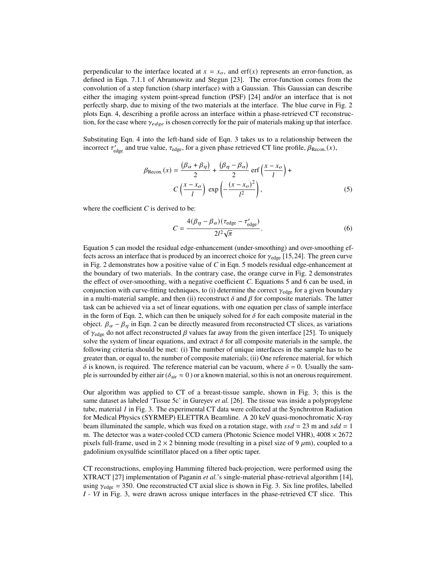perpendicular to the interface located at  $x = x<sub>o</sub>$ , and erf(x) represents an error-function, as defined in Eqn. 7.1.1 of Abramowitz and Stegun [\[23\]](#page-6-21). The error-function comes from the convolution of a step function (sharp interface) with a Gaussian. This Gaussian can describe either the imaging system point-spread function (PSF) [\[24\]](#page-6-22) and/or an interface that is not perfectly sharp, due to mixing of the two materials at the interface. The blue curve in Fig. [2](#page-2-1) plots Eqn. [4,](#page-2-2) describing a profile across an interface within a phase-retrieved CT reconstruction, for the case where  $\gamma_{edge}$  is chosen correctly for the pair of materials making up that interface.

Substituting Eqn. [4](#page-2-2) into the left-hand side of Eqn. [3](#page-2-0) takes us to a relationship between the incorrect  $\tau_{\text{edge}}'$  and true value,  $\tau_{\text{edge}}$ , for a given phase retrieved CT line profile,  $\beta_{\text{Recon.}}(x)$ ,

$$
\beta_{\text{Recon.}}(x) = \frac{(\beta_{\alpha} + \beta_{\eta})}{2} + \frac{(\beta_{\eta} - \beta_{\alpha})}{2} \operatorname{erf}\left(\frac{x - x_{o}}{l}\right) + C\left(\frac{x - x_{o}}{l}\right) \operatorname{exp}\left(-\frac{(x - x_{o})^{2}}{l^{2}}\right),\tag{5}
$$

where the coefficient *C* is derived to be:

<span id="page-3-1"></span><span id="page-3-0"></span>
$$
C = \frac{4(\beta_{\eta} - \beta_{\alpha})(\tau_{\text{edge}} - \tau_{\text{edge}}')}{2l^2\sqrt{\pi}}.
$$
 (6)

Equation [5](#page-3-0) can model the residual edge-enhancement (under-smoothing) and over-smoothing effects across an interface that is produced by an incorrect choice for  $\gamma_{\text{edge}}$  [\[15,](#page-6-13)[24\]](#page-6-22). The green curve in Fig. [2](#page-2-1) demonstrates how a positive value of *C* in Eqn. [5](#page-3-0) models residual edge-enhancement at the boundary of two materials. In the contrary case, the orange curve in Fig. [2](#page-2-1) demonstrates the effect of over-smoothing, with a negative coefficient *C*. Equations [5](#page-3-0) and [6](#page-3-1) can be used, in conjunction with curve-fitting techniques, to (i) determine the correct  $\gamma_{\text{edge}}$  for a given boundary in a multi-material sample, and then (ii) reconstruct  $\delta$  and  $\beta$  for composite materials. The latter task can be achieved via a set of linear equations, with one equation per class of sample interface in the form of Eqn. [2,](#page-2-3) which can then be uniquely solved for  $\delta$  for each composite material in the object.  $\beta_{\alpha} - \beta_{\eta}$  in Eqn. [2](#page-2-3) can be directly measured from reconstructed CT slices, as variations of  $\gamma_{\text{edge}}$  do not affect reconstructed  $\beta$  values far away from the given interface [\[25\]](#page-6-23). To uniquely solve the system of linear equations, and extract  $\delta$  for all composite materials in the sample, the following criteria should be met: (i) The number of unique interfaces in the sample has to be greater than, or equal to, the number of composite materials; (ii) One reference material, for which  $\delta$  is known, is required. The reference material can be vacuum, where  $\delta = 0$ . Usually the sample is surrounded by either air ( $\delta_{air} \approx 0$ ) or a known material, so this is not an onerous requirement.

Our algorithm was applied to CT of a breast-tissue sample, shown in Fig. [3;](#page-4-0) this is the same dataset as labeled 'Tissue 5c' in Gureyev *et al.* [\[26\]](#page-6-24). The tissue was inside a polypropylene tube, material *1* in Fig. [3.](#page-4-0) The experimental CT data were collected at the Synchrotron Radiation for Medical Physics (SYRMEP) ELETTRA Beamline. A 20 keV quasi-monochromatic X-ray beam illuminated the sample, which was fixed on a rotation stage, with  $ssd = 23$  m and  $sdd = 1$ m. The detector was a water-cooled CCD camera (Photonic Science model VHR),  $4008 \times 2672$ pixels full-frame, used in  $2 \times 2$  binning mode (resulting in a pixel size of 9  $\mu$ m), coupled to a gadolinium oxysulfide scintillator placed on a fiber optic taper.

CT reconstructions, employing Hamming filtered back-projection, were performed using the XTRACT [\[27\]](#page-7-0) implementation of Paganin *et al.*'s single-material phase-retrieval algorithm [\[14\]](#page-6-12), using  $\gamma_{\text{edge}} = 350$ . One reconstructed CT axial slice is shown in Fig. [3.](#page-4-0) Six line profiles, labelled *I - VI* in Fig. [3,](#page-4-0) were drawn across unique interfaces in the phase-retrieved CT slice. This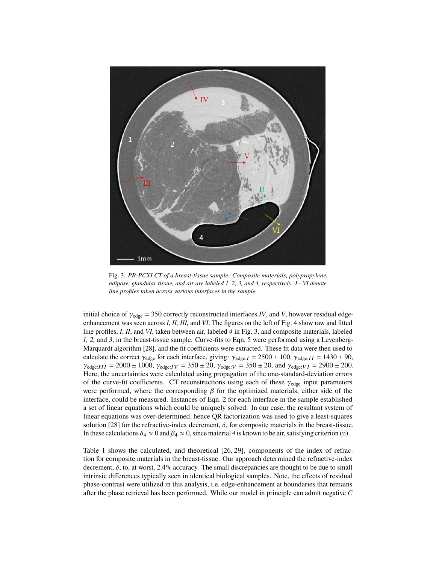<span id="page-4-0"></span>

Fig. 3. *PB-PCXI CT of a breast-tissue sample. Composite materials, polypropylene, adipose, glandular tissue, and air are labeled 1, 2, 3, and 4, respectively. I - VI denote line profiles taken across various interfaces in the sample.*

initial choice of  $\gamma_{\text{edge}} = 350$  correctly reconstructed interfaces *IV*, and *V*, however residual edgeenhancement was seen across *I*, *II, III,* and *VI*. The figures on the left of Fig. [4](#page-5-0) show raw and fitted line profiles, *I*, *II*, and *VI*, taken between air, labeled *4* in Fig. [3,](#page-4-0) and composite materials, labeled *1, 2,* and *3*, in the breast-tissue sample. Curve-fits to Eqn. [5](#page-3-0) were performed using a Levenberg-Marquardt algorithm [\[28\]](#page-7-1), and the fit coefficients were extracted. These fit data were then used to calculate the correct  $\gamma_{\text{edge}}$  for each interface, giving:  $\gamma_{\text{edge}: I} = 2500 \pm 100$ ,  $\gamma_{\text{edge}: II} = 1430 \pm 90$ ,  $\gamma_{\text{edge}:III} = 2000 \pm 1000$ ,  $\gamma_{\text{edge}:IV} = 350 \pm 20$ ,  $\gamma_{\text{edge}:V} = 350 \pm 20$ , and  $\gamma_{\text{edge}:VI} = 2900 \pm 200$ . Here, the uncertainties were calculated using propagation of the one-standard-deviation errors of the curve-fit coefficients. CT reconstructions using each of these  $\gamma_{\text{edge}}$  input parameters were performed, where the corresponding  $\beta$  for the optimized materials, either side of the interface, could be measured. Instances of Eqn. [2](#page-2-3) for each interface in the sample established a set of linear equations which could be uniquely solved. In our case, the resultant system of linear equations was over-determined, hence QR factorization was used to give a least-squares solution [\[28\]](#page-7-1) for the refractive-index decrement,  $\delta$ , for composite materials in the breast-tissue. In these calculations  $\delta_4 \approx 0$  and  $\beta_4 \approx 0$ , since material 4 is known to be air, satisfying criterion (ii).

Table [1](#page-6-25) shows the calculated, and theoretical [\[26,](#page-6-24) [29\]](#page-7-2), components of the index of refraction for composite materials in the breast-tissue. Our approach determined the refractive-index decrement,  $\delta$ , to, at worst, 2.4% accuracy. The small discrepancies are thought to be due to small intrinsic differences typically seen in identical biological samples. Note, the effects of residual phase-contrast were utilized in this analysis, i.e. edge-enhancement at boundaries that remains after the phase retrieval has been performed. While our model in principle can admit negative *C*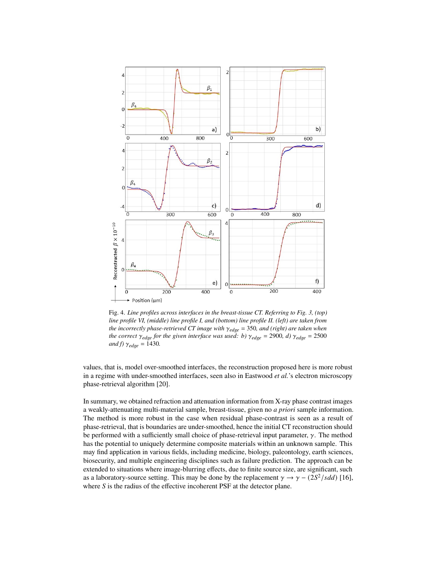<span id="page-5-0"></span>

Fig. 4. *Line profiles across interfaces in the breast-tissue CT. Referring to Fig. [3,](#page-4-0) (top) line profile VI, (middle) line profile I, and (bottom) line profile II. (left) are taken from the incorrectly phase-retrieved CT image with*  $\gamma_{edge} = 350$ *, and (right) are taken when the correct*  $\gamma_{edge}$  *for the given interface was used: b)*  $\gamma_{edge}$  = 2900*, d)*  $\gamma_{edge}$  = 2500 *and f)*  $\gamma_{edge} = 1430$ .

values, that is, model over-smoothed interfaces, the reconstruction proposed here is more robust in a regime with under-smoothed interfaces, seen also in Eastwood *et al.*'s electron microscopy phase-retrieval algorithm [\[20\]](#page-6-18).

In summary, we obtained refraction and attenuation information from X-ray phase contrast images a weakly-attenuating multi-material sample, breast-tissue, given no *a priori* sample information. The method is more robust in the case when residual phase-contrast is seen as a result of phase-retrieval, that is boundaries are under-smoothed, hence the initial CT reconstruction should be performed with a sufficiently small choice of phase-retrieval input parameter,  $\gamma$ . The method has the potential to uniquely determine composite materials within an unknown sample. This may find application in various fields, including medicine, biology, paleontology, earth sciences, biosecurity, and multiple engineering disciplines such as failure prediction. The approach can be extended to situations where image-blurring effects, due to finite source size, are significant, such as a laboratory-source setting. This may be done by the replacement  $\gamma \rightarrow \gamma - (2S^2/sdd)$  [\[16\]](#page-6-15), where *S* is the radius of the effective incoherent PSF at the detector plane.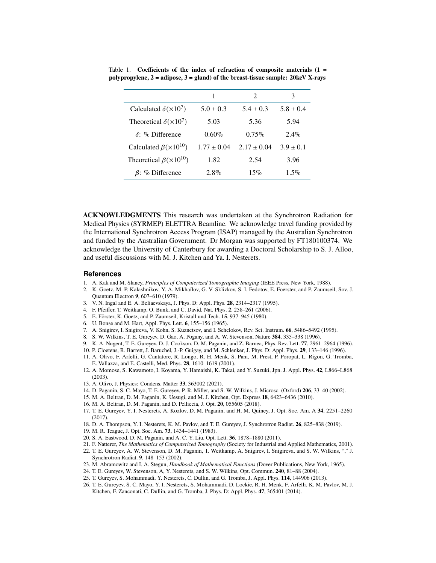|                                     |                 | $\mathcal{D}_{\mathcal{A}}$ | 3             |
|-------------------------------------|-----------------|-----------------------------|---------------|
| Calculated $\delta(\times 10^7)$    | $5.0 \pm 0.3$   | $5.4 \pm 0.3$               | $5.8 \pm 0.4$ |
| Theoretical $\delta(\times 10^7)$   | 5.03            | 5.36                        | 5.94          |
| $\delta$ : % Difference             | $0.60\%$        | $0.75\%$                    | $2.4\%$       |
| Calculated $\beta(\times 10^{10})$  | $1.77 \pm 0.04$ | $2.17 \pm 0.04$             | $3.9 \pm 0.1$ |
| Theoretical $\beta(\times 10^{10})$ | 1.82            | 2.54                        | 3.96          |
| $\beta$ : % Difference              | $2.8\%$         | 15%                         | $1.5\%$       |

<span id="page-6-25"></span>Table 1. **Coefficients of the index of refraction of composite materials (1 = polypropylene, 2 = adipose, 3 = gland) of the breast-tissue sample: 20keV X-rays**

**ACKNOWLEDGMENTS** This research was undertaken at the Synchrotron Radiation for Medical Physics (SYRMEP) ELETTRA Beamline. We acknowledge travel funding provided by the International Synchrotron Access Program (ISAP) managed by the Australian Synchrotron and funded by the Australian Government. Dr Morgan was supported by FT180100374. We acknowledge the University of Canterbury for awarding a Doctoral Scholarship to S. J. Alloo, and useful discussions with M. J. Kitchen and Ya. I. Nesterets.

## **References**

- <span id="page-6-0"></span>1. A. Kak and M. Slaney, *Principles of Computerized Tomographic Imaging* (IEEE Press, New York, 1988).
- <span id="page-6-1"></span>2. K. Goetz, M. P. Kalashnikov, Y. A. Mikha˘ılov, G. V. Sklizkov, S. I. Fedotov, E. Foerster, and P. Zaumseil, Sov. J. Quantum Electron **9**, 607–610 (1979).
- <span id="page-6-5"></span>3. V. N. Ingal and E. A. Beliaevskaya, J. Phys. D: Appl. Phys. **28**, 2314–2317 (1995).
- <span id="page-6-3"></span>4. F. Pfeiffer, T. Weitkamp, O. Bunk, and C. David, Nat. Phys. **2**, 258–261 (2006).
- <span id="page-6-6"></span>5. E. Förster, K. Goetz, and P. Zaumseil, Kristall und Tech. **15**, 937–945 (1980).
- <span id="page-6-7"></span>6. U. Bonse and M. Hart, Appl. Phys. Lett. **6**, 155–156 (1965).
- <span id="page-6-9"></span>7. A. Snigirev, I. Snigireva, V. Kohn, S. Kuznetsov, and I. Schelokov, Rev. Sci. Instrum. **66**, 5486–5492 (1995).
- 8. S. W. Wilkins, T. E. Gureyev, D. Gao, A. Pogany, and A. W. Stevenson, Nature **384**, 335–338 (1996).
- <span id="page-6-10"></span>9. K. A. Nugent, T. E. Gureyev, D. J. Cookson, D. M. Paganin, and Z. Barnea, Phys. Rev. Lett. **77**, 2961–2964 (1996).
- <span id="page-6-11"></span>10. P. Cloetens, R. Barrett, J. Baruchel, J.-P. Guigay, and M. Schlenker, J. Phys. D: Appl. Phys. **29**, 133–146 (1996). 11. A. Olivo, F. Arfelli, G. Cantatore, R. Longo, R. H. Menk, S. Pani, M. Prest, P. Poropat, L. Rigon, G. Tromba,
- <span id="page-6-2"></span>E. Vallazza, and E. Castelli, Med. Phys. **28**, 1610–1619 (2001).
- <span id="page-6-4"></span>12. A. Momose, S. Kawamoto, I. Koyama, Y. Hamaishi, K. Takai, and Y. Suzuki, Jpn. J. Appl. Phys. **42**, L866–L868 (2003).
- <span id="page-6-8"></span>13. A. Olivo, J. Physics: Condens. Matter **33**, 363002 (2021).
- <span id="page-6-12"></span>14. D. Paganin, S. C. Mayo, T. E. Gureyev, P. R. Miller, and S. W. Wilkins, J. Microsc. (Oxford) **206**, 33–40 (2002).
- <span id="page-6-13"></span>15. M. A. Beltran, D. M. Paganin, K. Uesugi, and M. J. Kitchen, Opt. Express **18**, 6423–6436 (2010).
- <span id="page-6-15"></span>16. M. A. Beltran, D. M. Paganin, and D. Pelliccia, J. Opt. **20**, 055605 (2018).
- <span id="page-6-14"></span>17. T. E. Gureyev, Y. I. Nesterets, A. Kozlov, D. M. Paganin, and H. M. Quiney, J. Opt. Soc. Am. A **34**, 2251–2260 (2017).
- <span id="page-6-16"></span>18. D. A. Thompson, Y. I. Nesterets, K. M. Pavlov, and T. E. Gureyev, J. Synchrotron Radiat. **26**, 825–838 (2019).
- <span id="page-6-17"></span>19. M. R. Teague, J. Opt. Soc. Am. **73**, 1434–1441 (1983).
- <span id="page-6-18"></span>20. S. A. Eastwood, D. M. Paganin, and A. C. Y. Liu, Opt. Lett. **36**, 1878–1880 (2011).
- <span id="page-6-19"></span>21. F. Natterer, *The Mathematics of Computerized Tomography* (Society for Industrial and Applied Mathematics, 2001).
- <span id="page-6-20"></span>22. T. E. Gureyev, A. W. Stevenson, D. M. Paganin, T. Weitkamp, A. Snigirev, I. Snigireva, and S. W. Wilkins, "," J. Synchrotron Radiat. **9**, 148–153 (2002).
- <span id="page-6-21"></span>23. M. Abramowitz and I. A. Stegun, *Handbook of Mathematical Functions* (Dover Publications, New York, 1965).
- <span id="page-6-22"></span>24. T. E. Gureyev, W. Stevenson, A, Y. Nesterets, and S. W. Wilkins, Opt. Commun. **240**, 81–88 (2004).
- <span id="page-6-23"></span>25. T. Gureyev, S. Mohammadi, Y. Nesterets, C. Dullin, and G. Tromba, J. Appl. Phys. **114**, 144906 (2013).
- <span id="page-6-24"></span>26. T. E. Gureyev, S. C. Mayo, Y. I. Nesterets, S. Mohammadi, D. Lockie, R. H. Menk, F. Arfelli, K. M. Pavlov, M. J. Kitchen, F. Zanconati, C. Dullin, and G. Tromba, J. Phys. D: Appl. Phys. **47**, 365401 (2014).